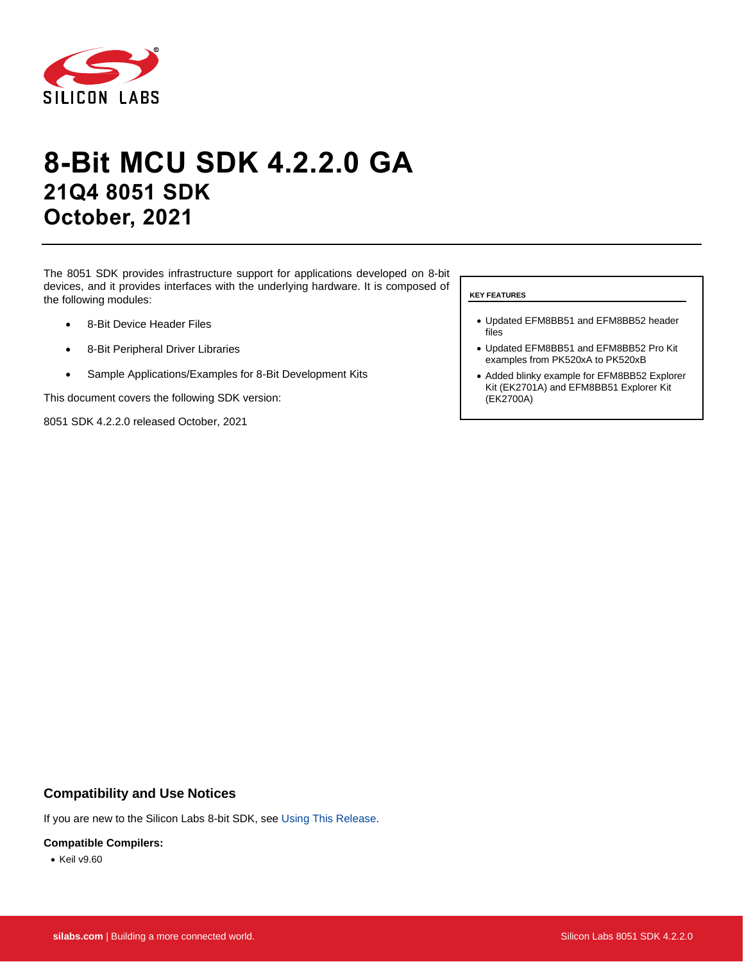

# **8-Bit MCU SDK 4.2.2.0 GA 21Q4 8051 SDK October, 2021**

The 8051 SDK provides infrastructure support for applications developed on 8-bit devices, and it provides interfaces with the underlying hardware. It is composed of the following modules:

- 8-Bit Device Header Files
- 8-Bit Peripheral Driver Libraries
- Sample Applications/Examples for 8-Bit Development Kits

This document covers the following SDK version:

8051 SDK 4.2.2.0 released October, 2021

**KEY FEATURES**

- Updated EFM8BB51 and EFM8BB52 header files
- Updated EFM8BB51 and EFM8BB52 Pro Kit examples from PK520xA to PK520xB
- Added blinky example for EFM8BB52 Explorer Kit (EK2701A) and EFM8BB51 Explorer Kit (EK2700A)

#### **Compatibility and Use Notices**

If you are new to the Silicon Labs 8-bit SDK, see Using This Release.

#### **Compatible Compilers:**

• Keil v9.60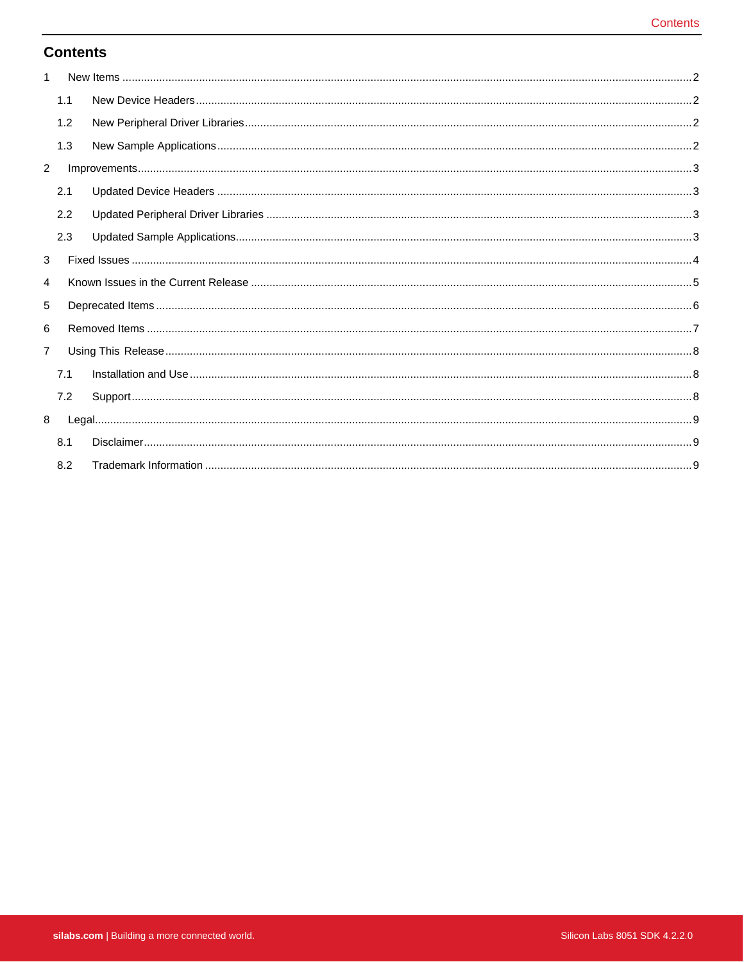#### **Contents**

| $\mathbf{1}$   |     |  |  |  |
|----------------|-----|--|--|--|
|                | 1.1 |  |  |  |
|                | 1.2 |  |  |  |
|                | 1.3 |  |  |  |
| 2              |     |  |  |  |
|                | 2.1 |  |  |  |
|                | 2.2 |  |  |  |
|                | 2.3 |  |  |  |
| 3              |     |  |  |  |
| 4              |     |  |  |  |
| 5              |     |  |  |  |
| 6              |     |  |  |  |
| $\overline{7}$ |     |  |  |  |
|                | 7.1 |  |  |  |
|                | 7.2 |  |  |  |
| 8              |     |  |  |  |
|                | 8.1 |  |  |  |
|                | 8.2 |  |  |  |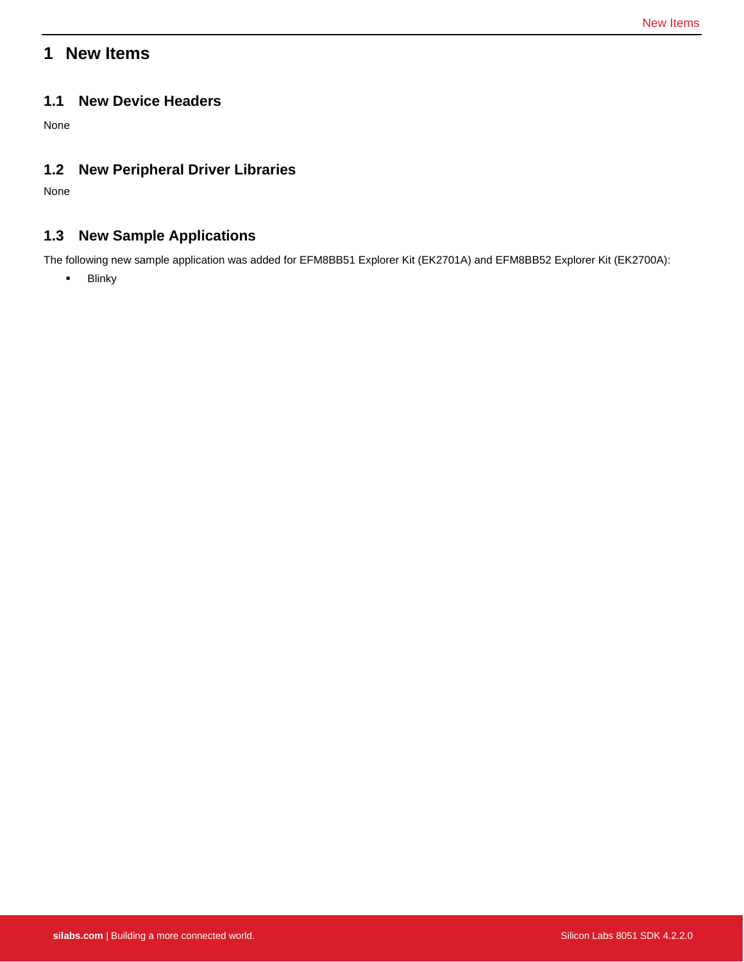# **1 New Items**

#### **1.1 New Device Headers**

None

### **1.2 New Peripheral Driver Libraries**

None

### **1.3 New Sample Applications**

The following new sample application was added for EFM8BB51 Explorer Kit (EK2701A) and EFM8BB52 Explorer Kit (EK2700A):

▪ Blinky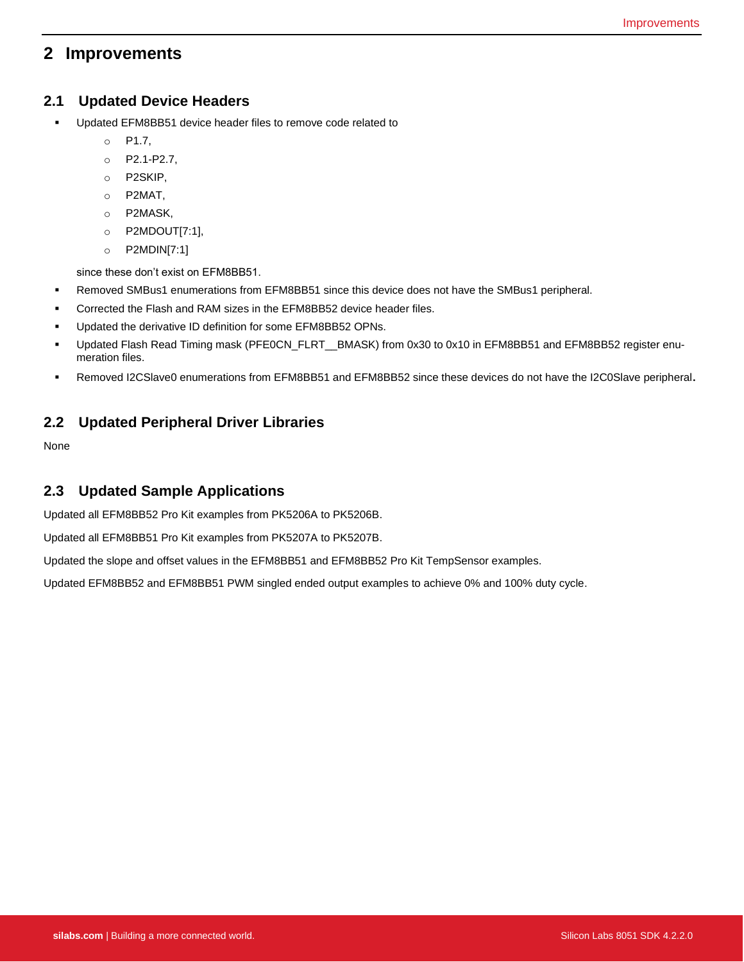# **2 Improvements**

#### **2.1 Updated Device Headers**

- Updated EFM8BB51 device header files to remove code related to
	- o P1.7,
	- o P2.1-P2.7,
	- o P2SKIP,
	- o P2MAT,
	- o P2MASK,
	- o P2MDOUT[7:1],
	- o P2MDIN[7:1]

since these don't exist on EFM8BB51.

- **Removed SMBus1 enumerations from EFM8BB51 since this device does not have the SMBus1 peripheral.**
- Corrected the Flash and RAM sizes in the EFM8BB52 device header files.
- Updated the derivative ID definition for some EFM8BB52 OPNs.
- Updated Flash Read Timing mask (PFE0CN\_FLRT\_\_BMASK) from 0x30 to 0x10 in EFM8BB51 and EFM8BB52 register enumeration files.
- Removed I2CSlave0 enumerations from EFM8BB51 and EFM8BB52 since these devices do not have the I2C0Slave peripheral.

#### **2.2 Updated Peripheral Driver Libraries**

None

#### **2.3 Updated Sample Applications**

Updated all EFM8BB52 Pro Kit examples from PK5206A to PK5206B.

Updated all EFM8BB51 Pro Kit examples from PK5207A to PK5207B.

Updated the slope and offset values in the EFM8BB51 and EFM8BB52 Pro Kit TempSensor examples.

Updated EFM8BB52 and EFM8BB51 PWM singled ended output examples to achieve 0% and 100% duty cycle.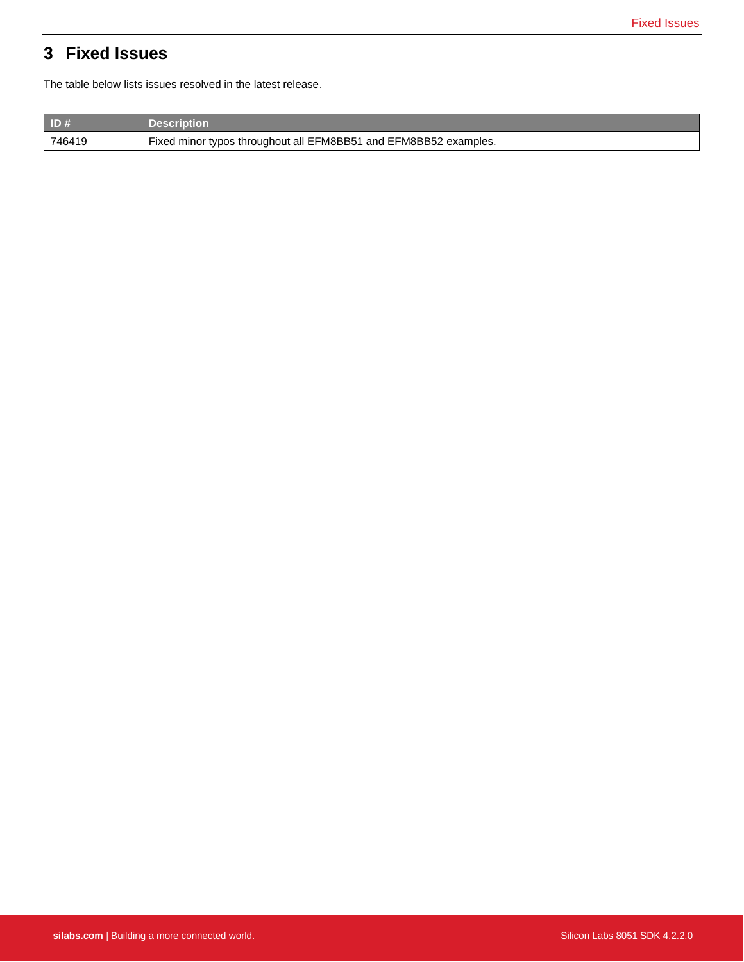# **3 Fixed Issues**

The table below lists issues resolved in the latest release.

| $\vert$ ID # | <b>Description</b>                                               |
|--------------|------------------------------------------------------------------|
| 746419       | Fixed minor typos throughout all EFM8BB51 and EFM8BB52 examples. |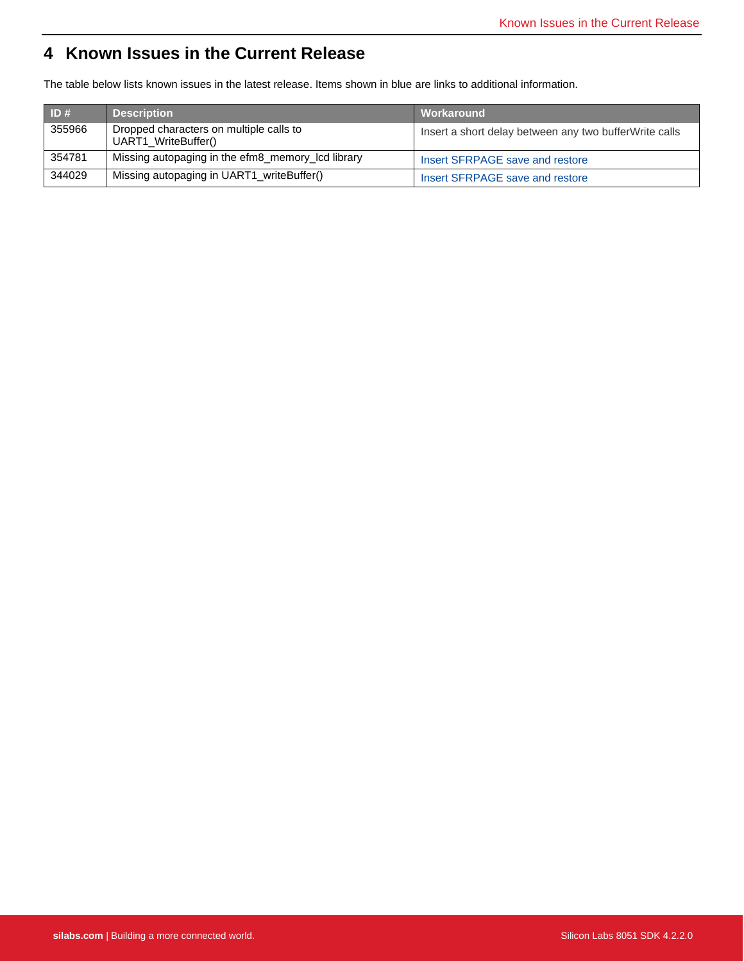# **4 Known Issues in the Current Release**

The table below lists known issues in the latest release. Items shown in blue are links to additional information.

| ID#    | <b>Description</b>                                             | <b>Workaround</b>                                       |
|--------|----------------------------------------------------------------|---------------------------------------------------------|
| 355966 | Dropped characters on multiple calls to<br>UART1 WriteBuffer() | Insert a short delay between any two buffer Write calls |
| 354781 | Missing autopaging in the efm8_memory_lcd library              | Insert SFRPAGE save and restore                         |
| 344029 | Missing autopaging in UART1_writeBuffer()                      | Insert SFRPAGE save and restore                         |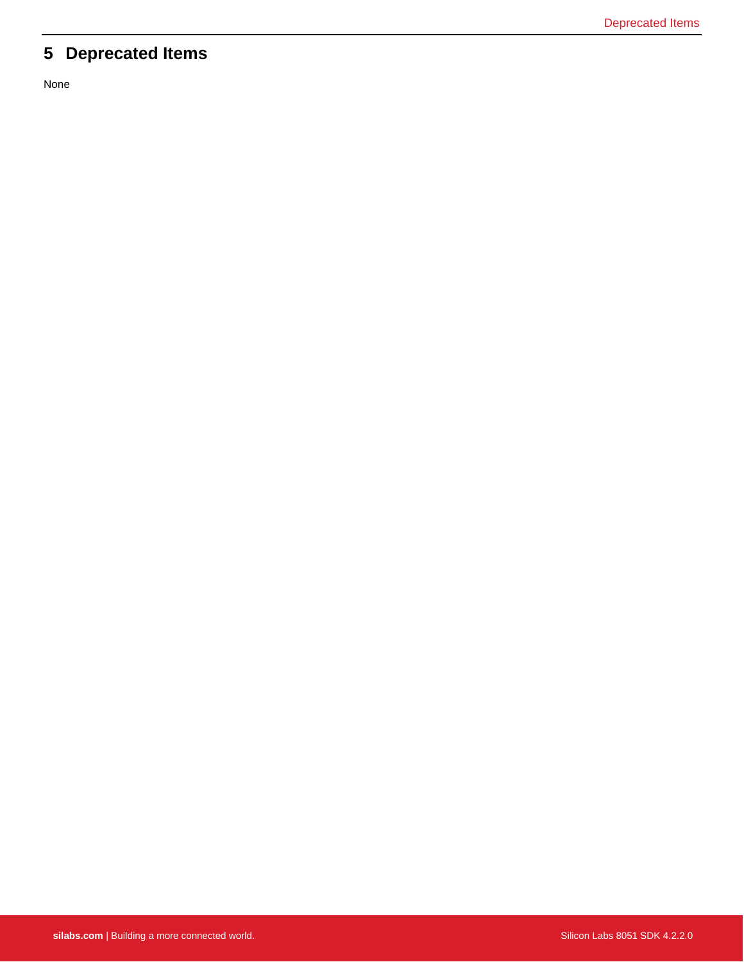# **5 Deprecated Items**

None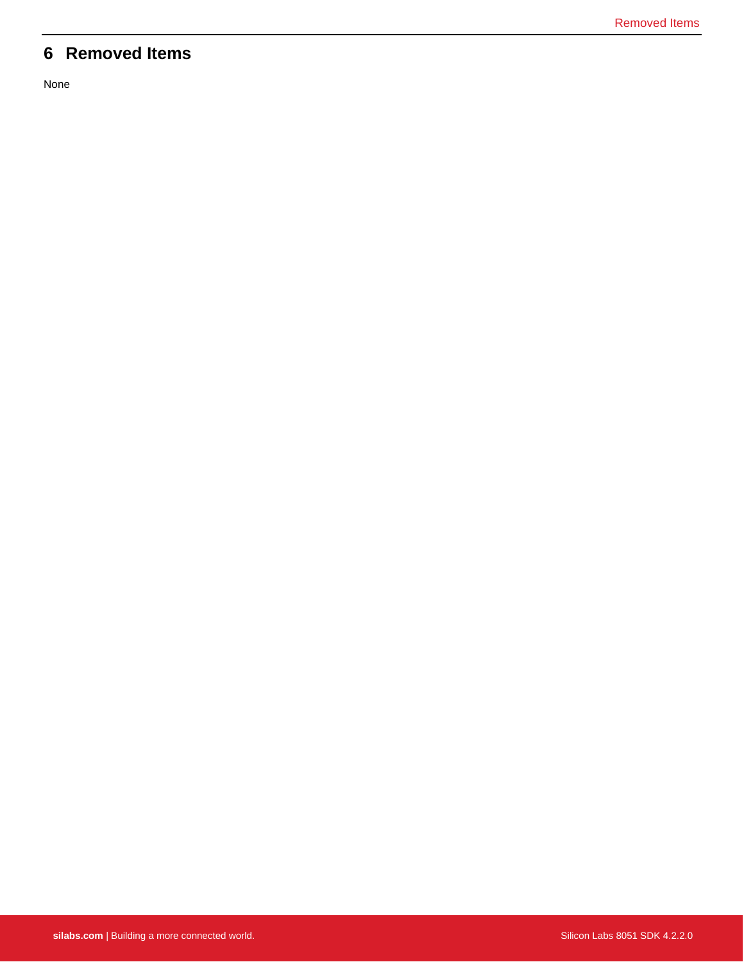# **6 Removed Items**

None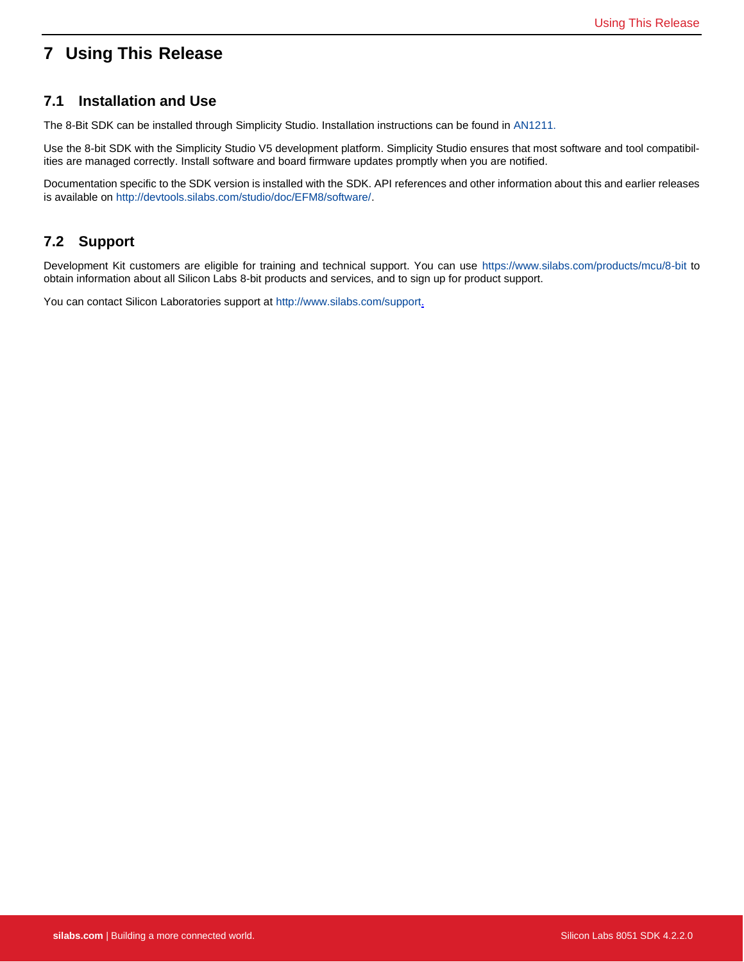# **7 Using This Release**

#### **7.1 Installation and Use**

The 8-Bit SDK can be installed through Simplicity Studio. Installation instructions can be found i[n AN1211.](https://www.silabs.com/documents/public/application-notes/an1211-simplicity-studio-v4-installation-methods.pdf)

Use the 8-bit SDK with the Simplicity Studio V5 development platform. Simplicity Studio ensures that most software and tool compatibilities are managed correctly. Install software and board firmware updates promptly when you are notified.

Documentation specific to the SDK version is installed with the SDK. API references and other information about this and earlier releases is available o[n http://devtools.silabs.com/studio/doc/EFM8/software/.](http://devtools.silabs.com/studio/doc/EFM8/software/)

#### **7.2 Support**

Development Kit customers are eligible for training and technical support. You can use<https://www.silabs.com/products/mcu/8-bit> to obtain information about all Silicon Labs 8-bit products and services, and to sign up for product support.

You can contact Silicon Laboratories support at [http://www.silabs.com/support.](http://www.silabs.com/support)